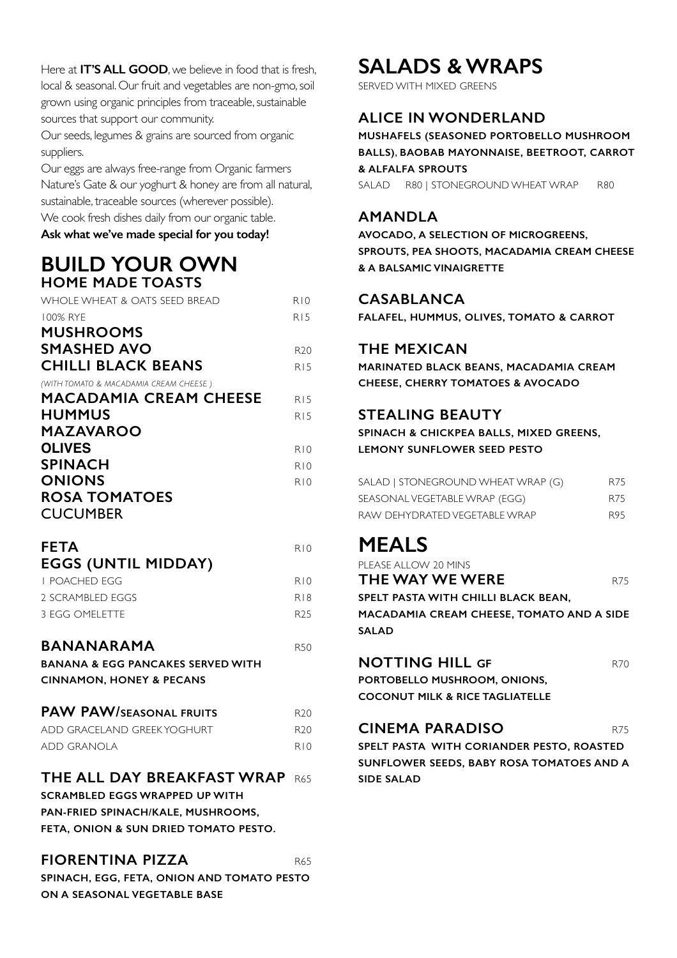Here at **IT'S ALL GOOD**, we believe in food that is fresh, local & seasonal. Our fruit and vegetables are non-gmo, soil grown using organic principles from traceable, sustainable sources that support our community.

Our seeds, legumes & grains are sourced from organic suppliers.

Our eggs are always free-range from Organic farmers Nature's Gate & our yoghurt & honey are from all natural, sustainable, traceable sources (wherever possible). We cook fresh dishes daily from our organic table.

**Ask what we've made special for you today!**

### **BUILD YOUR OWN HOME MADE TOASTS**

| WHOLE WHEAT & OATS SEED BREAD                | R10             |
|----------------------------------------------|-----------------|
| 100% RYE                                     | R15             |
| <b>MUSHROOMS</b>                             |                 |
| <b>SMASHED AVO</b>                           | R <sub>20</sub> |
| <b>CHILLI BLACK BEANS</b>                    | R15             |
| (WITH TOMATO & MACADAMIA CREAM CHEESE)       |                 |
| <b>MACADAMIA CREAM CHEESE</b>                | R15             |
| <b>HUMMUS</b>                                | R15             |
| MAZAVAROO                                    |                 |
| <b>OLIVES</b>                                | R10             |
| <b>SPINACH</b>                               | R10             |
| <b>ONIONS</b>                                | R10             |
| <b>ROSA TOMATOES</b>                         |                 |
| <b>CUCUMBER</b>                              |                 |
|                                              |                 |
| <b>FETA</b>                                  | R10             |
| <b>EGGS (UNTIL MIDDAY)</b>                   |                 |
| <b>I POACHED EGG</b>                         | R10             |
| 2 SCRAMBLED EGGS                             | R18             |
| <b>3 EGG OMELETTE</b>                        | R <sub>25</sub> |
| <b>BANANARAMA</b>                            | <b>R50</b>      |
| <b>BANANA &amp; EGG PANCAKES SERVED WITH</b> |                 |
| <b>CINNAMON, HONEY &amp; PECANS</b>          |                 |
|                                              |                 |
| <b>PAW PAW/SEASONAL FRUITS</b>               | R <sub>20</sub> |
| ADD GRACELAND GREEK YOGHURT                  | R <sub>20</sub> |
| <b>ADD GRANOLA</b>                           | R10             |
|                                              |                 |
| THE ALL DAY BREAKFAST WRAP R65               |                 |
| <b>SCRAMBLED EGGS WRAPPED UP WITH</b>        |                 |
| PAN-FRIED SPINACH/KALE, MUSHROOMS,           |                 |
| FETA, ONION & SUN DRIED TOMATO PESTO.        |                 |

#### **FIORENTINA PIZZA** R65

**SPINACH, EGG, FETA, ONION AND TOMATO PESTO ON A SEASONAL VEGETABLE BASE**

## **SALADS & WRAPS**

SERVED WITH MIXED GREENS

### **ALICE IN WONDERLAND**

**MUSHAFELS (SEASONED PORTOBELLO MUSHROOM BALLS)**, **BAOBAB MAYONNAISE, BEETROOT, CARROT & ALFALFA SPROUTS** 

SALAD R80 | STONEGROUND WHEAT WRAP R80

### **AMANDLA**

**AVOCADO, A SELECTION OF MICROGREENS, SPROUTS, PEA SHOOTS, MACADAMIA CREAM CHEESE & A BALSAMIC VINAIGRETTE** 

#### **CASABLANCA**

**FALAFEL, HUMMUS, OLIVES, TOMATO & CARROT** 

#### **THE MEXICAN**

**MARINATED BLACK BEANS, MACADAMIA CREAM CHEESE, CHERRY TOMATOES & AVOCADO**

### **STEALING BEAUTY**

**SPINACH & CHICKPEA BALLS, MIXED GREENS, LEMONY SUNFLOWER SEED PESTO**

| SALAD   STONEGROUND WHEAT WRAP (G) | R75 |
|------------------------------------|-----|
| SEASONAL VEGETABLE WRAP (EGG)      | R75 |
| RAW DEHYDRATED VEGETABLE WRAP      | R95 |

## **MEALS**

| PLEASE ALLOW 20 MINS                      |     |
|-------------------------------------------|-----|
| THE WAY WE WERE                           | R75 |
| SPELT PASTA WITH CHILLI BLACK BEAN,       |     |
| MACADAMIA CREAM CHEESE, TOMATO AND A SIDE |     |
| <b>SALAD</b>                              |     |
|                                           |     |

#### **NOTTING HILL GF R70**

**PORTOBELLO MUSHROOM, ONIONS, COCONUT MILK & RICE TAGLIATELLE** 

#### **CINEMA PARADISO** R75

**SPELT PASTA WITH CORIANDER PESTO, ROASTED SUNFLOWER SEEDS, BABY ROSA TOMATOES AND A SIDE SALAD**